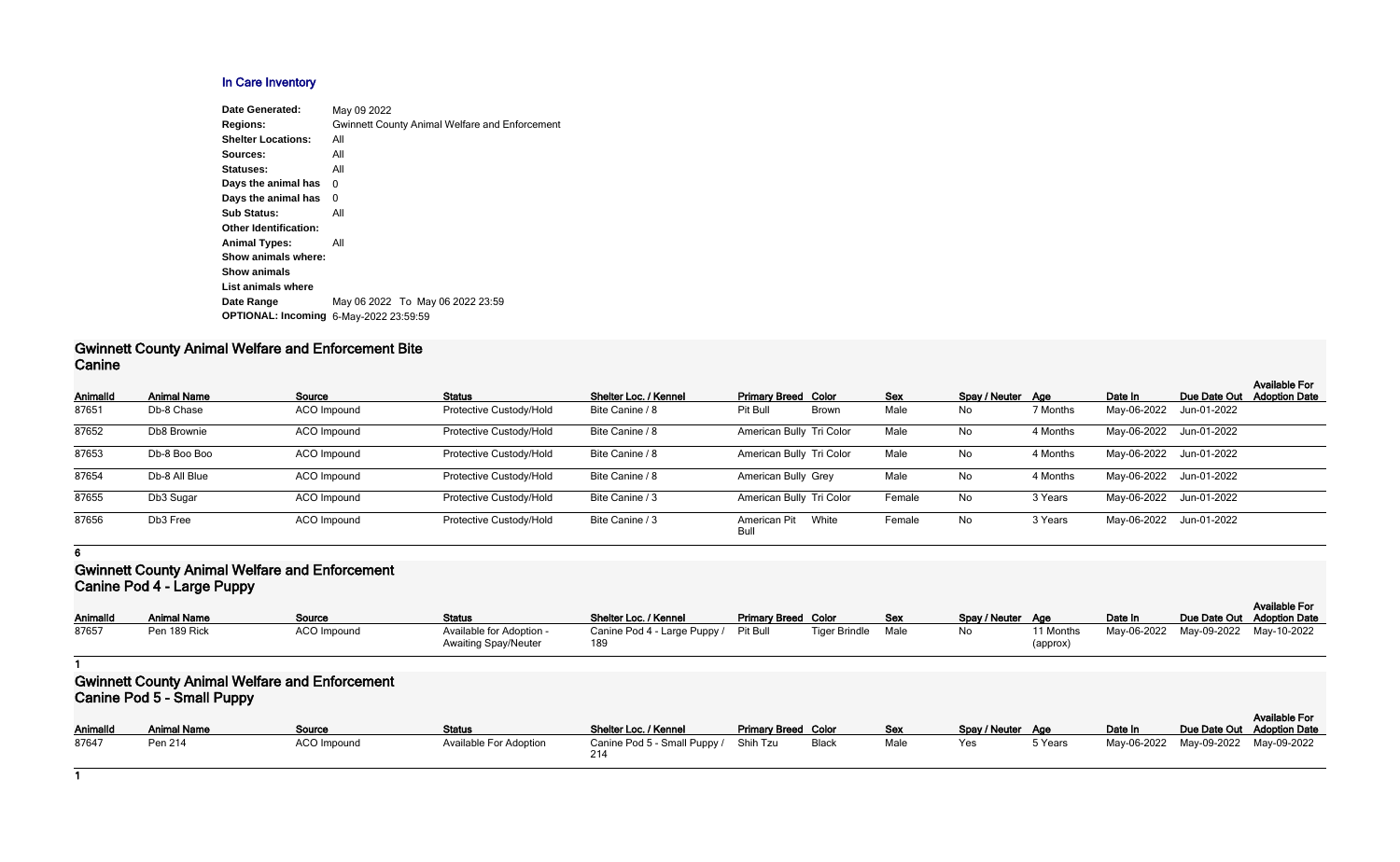#### **In Care Inventory**

| <b>Date Generated:</b>       | May 09 2022                                           |
|------------------------------|-------------------------------------------------------|
| <b>Regions:</b>              | <b>Gwinnett County Animal Welfare and Enforcement</b> |
| <b>Shelter Locations:</b>    | All                                                   |
| Sources:                     | All                                                   |
| Statuses:                    | All                                                   |
| Days the animal has          | 0                                                     |
| Days the animal has          | 0                                                     |
| <b>Sub Status:</b>           | All                                                   |
| <b>Other Identification:</b> |                                                       |
| <b>Animal Types:</b>         | All                                                   |
| Show animals where:          |                                                       |
| <b>Show animals</b>          |                                                       |
| List animals where           |                                                       |
| Date Range                   | May 06 2022 To May 06 2022 23:59                      |
| <b>OPTIONAL: Incoming</b>    | 6-May-2022 23:59:59                                   |
|                              |                                                       |

#### **Gwinnett County Animal Welfare and Enforcement Bite Canine**

| <b>AnimalId</b> | <b>Animal Name</b> | Source             | <b>Status</b>           | Shelter Loc. / Kennel | <b>Primary Breed Color</b> |              | <b>Sex</b> | Spay / Neuter Age |          | Date In     | Due Date Out            | <b>Available For</b><br><b>Adoption Date</b> |
|-----------------|--------------------|--------------------|-------------------------|-----------------------|----------------------------|--------------|------------|-------------------|----------|-------------|-------------------------|----------------------------------------------|
| 87651           | Db-8 Chase         | ACO Impound        | Protective Custody/Hold | Bite Canine / 8       | <b>Pit Bull</b>            | <b>Brown</b> | Male       | No                | 7 Months | May-06-2022 | Jun-01-2022             |                                              |
| 87652           | Db8 Brownie        | <b>ACO</b> Impound | Protective Custody/Hold | Bite Canine / 8       | American Bully Tri Color   |              | Male       | No                | 4 Months |             | May-06-2022 Jun-01-2022 |                                              |
| 87653           | Db-8 Boo Boo       | <b>ACO</b> Impound | Protective Custody/Hold | Bite Canine / 8       | American Bully Tri Color   |              | Male       | No                | 4 Months |             | May-06-2022 Jun-01-2022 |                                              |
| 87654           | Db-8 All Blue      | <b>ACO</b> Impound | Protective Custody/Hold | Bite Canine / 8       | American Bully Grey        |              | Male       | No                | 4 Months |             | May-06-2022 Jun-01-2022 |                                              |
| 87655           | Db3 Sugar          | <b>ACO</b> Impound | Protective Custody/Hold | Bite Canine / 3       | American Bully Tri Color   |              | Female     | No                | 3 Years  |             | May-06-2022 Jun-01-2022 |                                              |
| 87656           | Db3 Free           | ACO Impound        | Protective Custody/Hold | Bite Canine / 3       | American Pit<br>Bull       | White        | Female     | No                | 3 Years  |             | May-06-2022 Jun-01-2022 |                                              |

**6**

### **Gwinnett County Animal Welfare and Enforcement Canine Pod 4 - Large Puppy**

| <b>AnimalId</b> | <b>Animal Name</b> | <u>Source</u>      | <b>Status</b>               | Shelter Loc. / Kennel                 | <b>Primary Breed Color</b> |                      | <b>Sex</b> | Spay / Neuter Age |                       | Date In     | Due Date Out |
|-----------------|--------------------|--------------------|-----------------------------|---------------------------------------|----------------------------|----------------------|------------|-------------------|-----------------------|-------------|--------------|
| 87657           | Pen 189 Rick       | <b>ACO Impound</b> | Available for Adoption -    | Canine Pod 4 - Large Puppy / Pit Bull |                            | <b>Tiger Brindle</b> | Male       | No                | <sup>1</sup> 1 Months | May-06-2022 | May-09-2022  |
|                 |                    |                    | <b>Awaiting Spay/Neuter</b> | 189                                   |                            |                      |            |                   | (approx)              |             |              |

**1**

# **Gwinnett County Animal Welfare and Enforcement Canine Pod 5 - Small Puppy**

| Spay / Neuter<br>No | Age<br>11 Months<br>(approx) | Date In<br>May-06-2022 | Due Date Out<br>May-09-2022 | <b>Available For</b><br><b>Adoption Date</b><br>May-10-2022 |
|---------------------|------------------------------|------------------------|-----------------------------|-------------------------------------------------------------|
|                     |                              |                        |                             |                                                             |
|                     |                              |                        |                             |                                                             |
| Spay / Neuter       | Age                          | Date In                | Due Date Out                | <b>Available For</b><br><b>Adoption Date</b>                |
| Yes                 | 5 Years                      | May-06-2022            | May-09-2022                 | May-09-2022                                                 |

| <b>AnimalId</b> | <b>Animal Name</b> | <b>Source</b> | <b>Status</b>                 | Shelter Loc. / Kennel                 | <b>Primary Breed Color</b> |       | <b>Sex</b> | Spay / Neuter Age |         | Date In     | Due Date Out |
|-----------------|--------------------|---------------|-------------------------------|---------------------------------------|----------------------------|-------|------------|-------------------|---------|-------------|--------------|
| 87647           | Pen 214            | ACO Impound   | <b>Available For Adoption</b> | Canine Pod 5 - Small Puppy / Shih Tzu |                            | Black | Male       | Yes               | 5 Years | May-06-2022 | May-09-2022  |